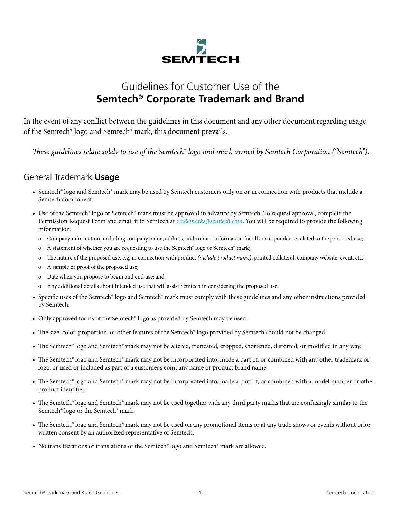

# Guidelines for Customer Use of the **Semtech® Corporate Trademark and Brand**

In the event of any conflict between the guidelines in this document and any other document regarding usage of the Semtech® logo and Semtech® mark, this document prevails.

*These guidelines relate solely to use of the Semtech® logo and mark owned by Semtech Corporation ("Semtech").*

#### General Trademark **Usage**

- Semtech® logo and Semtech® mark may be used by Semtech customers only on or in connection with products that include a Semtech component.
- Use of the Semtech® logo or Semtech® mark must be approved in advance by Semtech. To request approval, complete the Permission Request Form and email it to Semtech at *trademarks@semtech.com*. You will be required to provide the following information:
	- o Company information, including company name, address, and contact information for all correspondence related to the proposed use;
	- o A statement of whether you are requesting to use the Semtech® logo or Semtech® mark;
	- o The nature of the proposed use, e.g. in connection with product *(include product name)*, printed collateral, company website, event, etc.;
	- o A sample or proof of the proposed use;
	- o Date when you propose to begin and end use; and
	- o Any additional details about intended use that will assist Semtech in considering the proposed use.
- Specific uses of the Semtech® logo and Semtech® mark must comply with these guidelines and any other instructions provided by Semtech.
- Only approved forms of the Semtech® logo as provided by Semtech may be used.
- The size, color, proportion, or other features of the Semtech® logo provided by Semtech should not be changed.
- The Semtech® logo and Semtech® mark may not be altered, truncated, cropped, shortened, distorted, or modified in any way.
- The Semtech® logo and Semtech® mark may not be incorporated into, made a part of, or combined with any other trademark or logo, or used or included as part of a customer's company name or product brand name.
- The Semtech® logo and Semtech® mark may not be incorporated into, made a part of, or combined with a model number or other product identifier.
- The Semtech® logo and Semtech® mark may not be used together with any third party marks that are confusingly similar to the Semtech® logo or the Semtech® mark.
- The Semtech® logo and Semtech® mark may not be used on any promotional items or at any trade shows or events without prior written consent by an authorized representative of Semtech.
- No transliterations or translations of the Semtech® logo and Semtech® mark are allowed.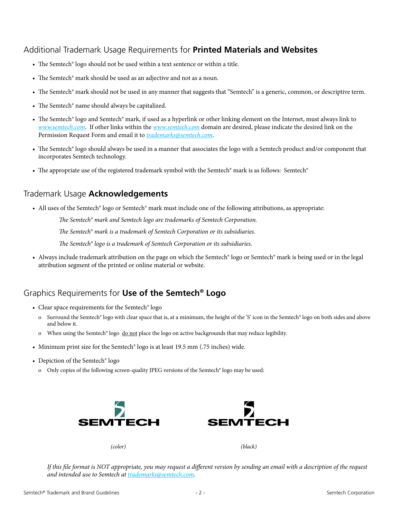### Additional Trademark Usage Requirements for **Printed Materials and Websites**

- The Semtech® logo should not be used within a text sentence or within a title.
- The Semtech® mark should be used as an adjective and not as a noun.
- The Semtech® mark should not be used in any manner that suggests that "Semtech" is a generic, common, or descriptive term.
- The Semtech® name should always be capitalized.
- The Semtech® logo and Semtech® mark, if used as a hyperlink or other linking element on the Internet, must always link to *www.semtech.com*. If other links within the *www.semtech.com* domain are desired, please indicate the desired link on the Permission Request Form and email it to *trademarks@semtech.com*.
- The Semtech® logo should always be used in a manner that associates the logo with a Semtech product and/or component that incorporates Semtech technology.
- The appropriate use of the registered trademark symbol with the Semtech® mark is as follows: Semtech®

### Trademark Usage **Acknowledgements**

• All uses of the Semtech® logo or Semtech® mark must include one of the following attributions, as appropriate:

*The Semtech® mark and Semtech logo are trademarks of Semtech Corporation. The Semtech® mark is a trademark of Semtech Corporation or its subsidiaries. The Semtech® logo is a trademark of Semtech Corporation or its subsidiaries.*

• Always include trademark attribution on the page on which the Semtech® logo or Semtech® mark is being used or in the legal attribution segment of the printed or online material or website.

## Graphics Requirements for **Use of the Semtech® Logo**

- Clear space requirements for the Semtech<sup>®</sup> logo
	- o Surround the Semtech® logo with clear space that is, at a minimum, the height of the 'S' icon in the Semtech® logo on both sides and above and below it.
	- o When using the Semtech® logo do not place the logo on active backgrounds that may reduce legibility.
- Minimum print size for the Semtech® logo is at least 19.5 mm (.75 inches) wide.
- Depiction of the Semtech® logo
	- o Only copies of the following screen-quality JPEG versions of the Semtech® logo may be used:



*If this file format is NOT appropriate, you may request a different version by sending an email with a description of the request and intended use to Semtech at trademarks@semtech.com.*